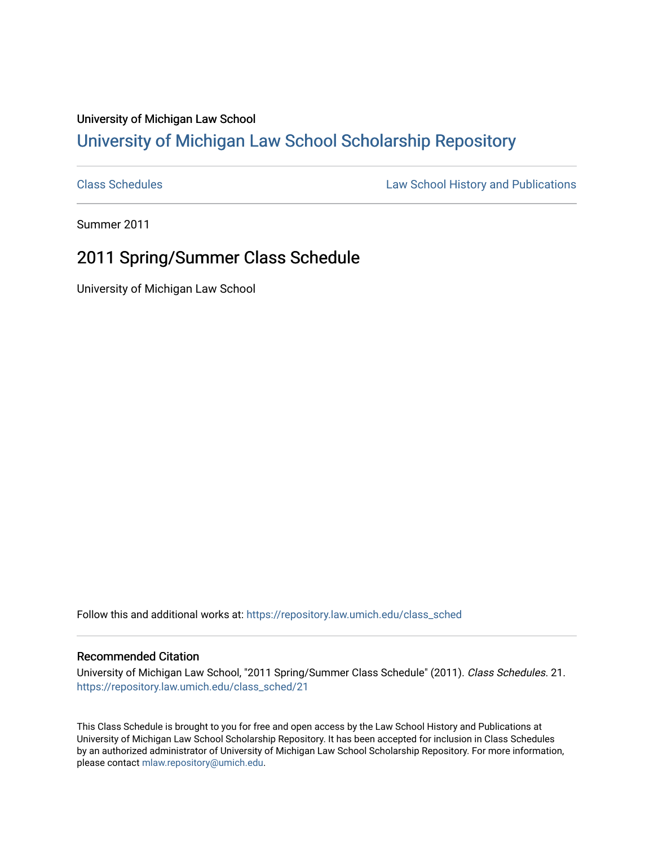## University of Michigan Law School [University of Michigan Law School Scholarship Repository](https://repository.law.umich.edu/)

[Class Schedules](https://repository.law.umich.edu/class_sched) **Law School History and Publications** 

Summer 2011

## 2011 Spring/Summer Class Schedule

University of Michigan Law School

Follow this and additional works at: [https://repository.law.umich.edu/class\\_sched](https://repository.law.umich.edu/class_sched?utm_source=repository.law.umich.edu%2Fclass_sched%2F21&utm_medium=PDF&utm_campaign=PDFCoverPages) 

## Recommended Citation

University of Michigan Law School, "2011 Spring/Summer Class Schedule" (2011). Class Schedules. 21. [https://repository.law.umich.edu/class\\_sched/21](https://repository.law.umich.edu/class_sched/21?utm_source=repository.law.umich.edu%2Fclass_sched%2F21&utm_medium=PDF&utm_campaign=PDFCoverPages)

This Class Schedule is brought to you for free and open access by the Law School History and Publications at University of Michigan Law School Scholarship Repository. It has been accepted for inclusion in Class Schedules by an authorized administrator of University of Michigan Law School Scholarship Repository. For more information, please contact [mlaw.repository@umich.edu.](mailto:mlaw.repository@umich.edu)